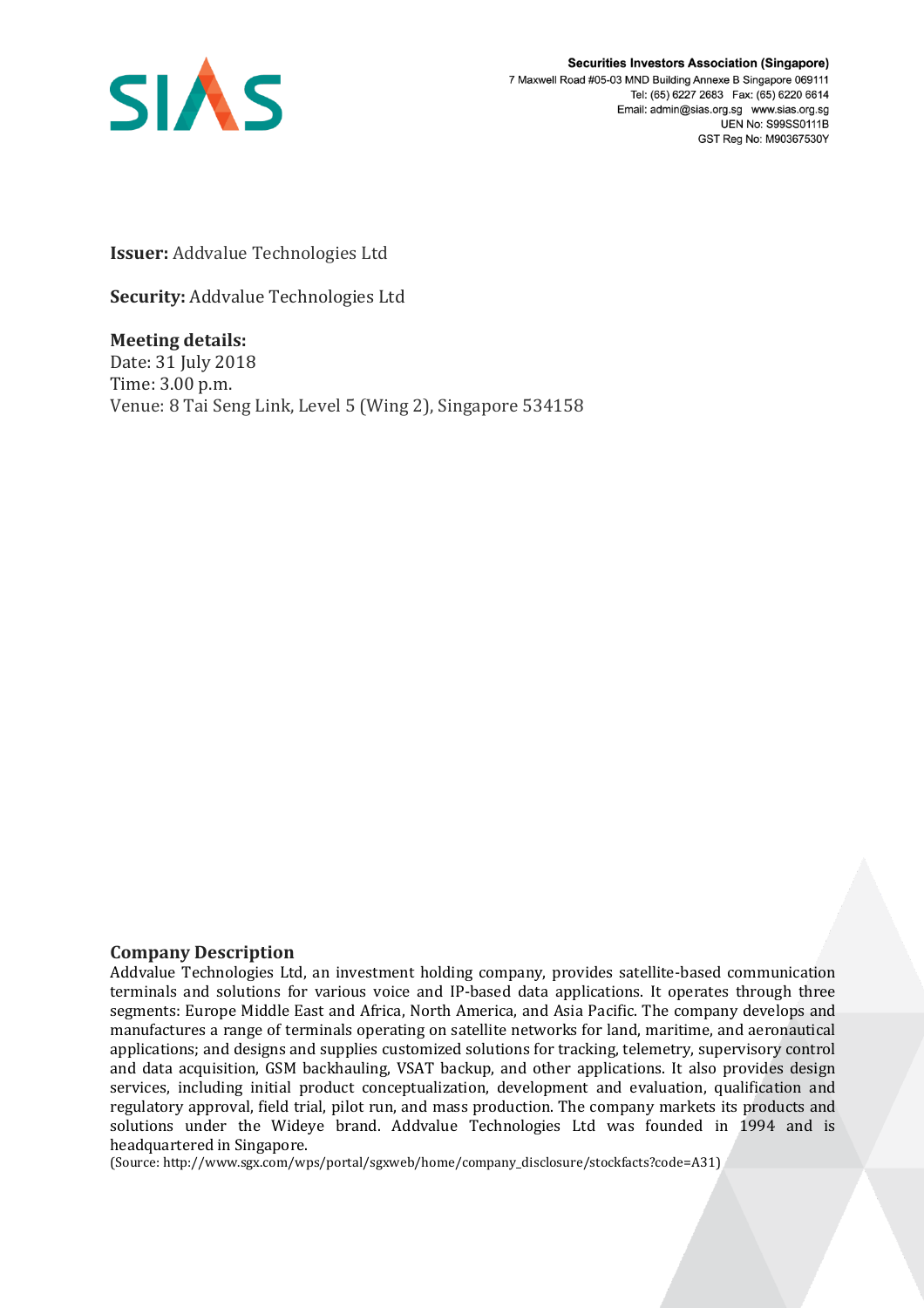

**Securities Investors Association (Singapore)** 7 Maxwell Road #05-03 MND Building Annexe B Singapore 069111 Tel: (65) 6227 2683 Fax: (65) 6220 6614 Email: admin@sias.org.sg www.sias.org.sg **UEN No: S99SS0111B** GST Reg No: M90367530Y

**Issuer:** Addvalue Technologies Ltd

**Security:** Addvalue Technologies Ltd

**Meeting details:**  Date: 31 July 2018 Time: 3.00 p.m. Venue: 8 Tai Seng Link, Level 5 (Wing 2), Singapore 534158

## **Company Description**

Addvalue Technologies Ltd, an investment holding company, provides satellite-based communication terminals and solutions for various voice and IP-based data applications. It operates through three segments: Europe Middle East and Africa, North America, and Asia Pacific. The company develops and manufactures a range of terminals operating on satellite networks for land, maritime, and aeronautical applications; and designs and supplies customized solutions for tracking, telemetry, supervisory control and data acquisition, GSM backhauling, VSAT backup, and other applications. It also provides design services, including initial product conceptualization, development and evaluation, qualification and regulatory approval, field trial, pilot run, and mass production. The company markets its products and solutions under the Wideye brand. Addvalue Technologies Ltd was founded in 1994 and is headquartered in Singapore.

(Source: http://www.sgx.com/wps/portal/sgxweb/home/company\_disclosure/stockfacts?code=A31)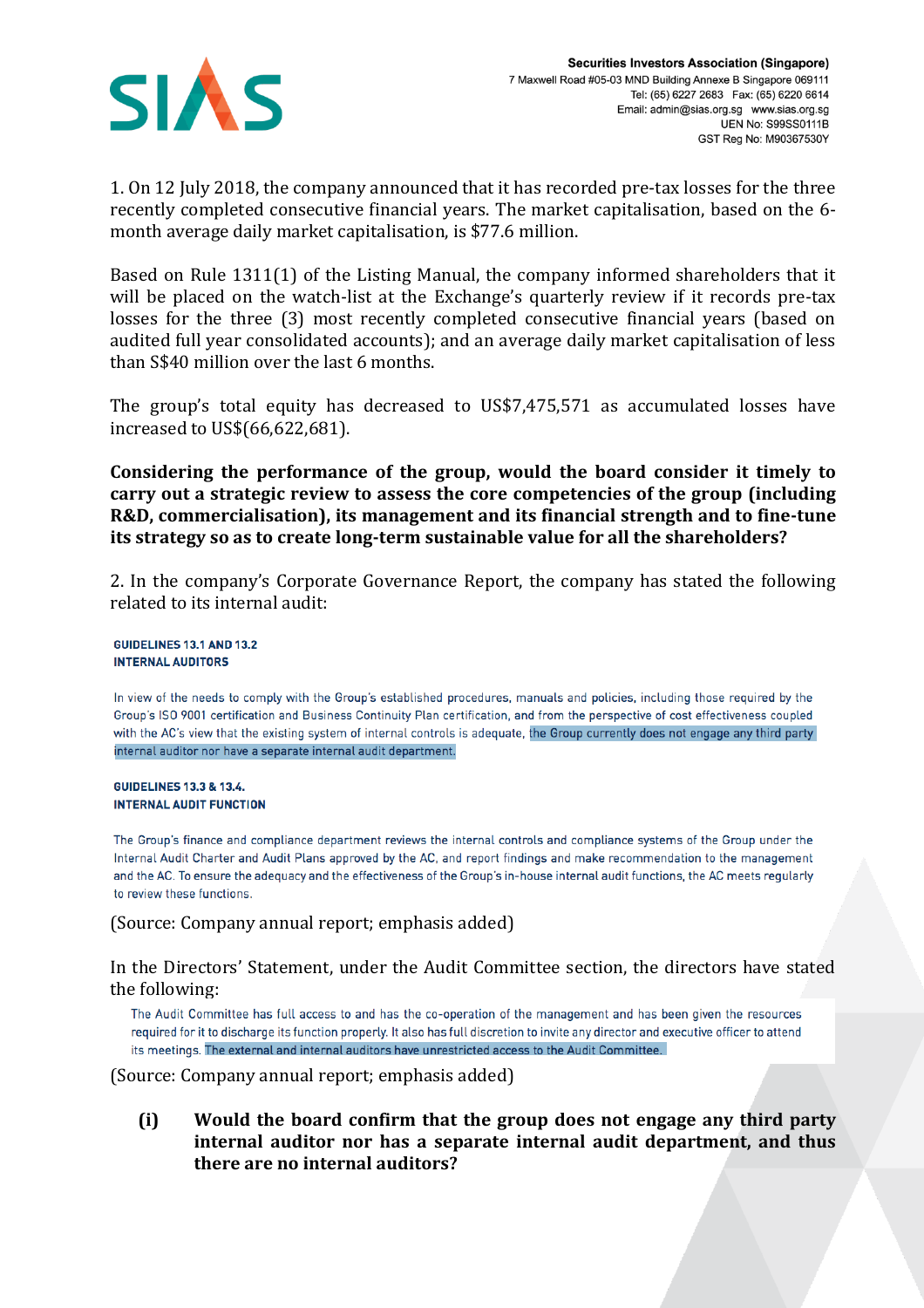

1. On 12 July 2018, the company announced that it has recorded pre-tax losses for the three recently completed consecutive financial years. The market capitalisation, based on the 6 month average daily market capitalisation, is \$77.6 million.

Based on Rule 1311(1) of the Listing Manual, the company informed shareholders that it will be placed on the watch-list at the Exchange's quarterly review if it records pre-tax losses for the three (3) most recently completed consecutive financial years (based on audited full year consolidated accounts); and an average daily market capitalisation of less than S\$40 million over the last 6 months.

The group's total equity has decreased to US\$7,475,571 as accumulated losses have increased to US\$(66,622,681).

**Considering the performance of the group, would the board consider it timely to carry out a strategic review to assess the core competencies of the group (including R&D, commercialisation), its management and its financial strength and to fine-tune its strategy so as to create long-term sustainable value for all the shareholders?**

2. In the company's Corporate Governance Report, the company has stated the following related to its internal audit:

**GUIDELINES 13.1 AND 13.2 INTERNAL AUDITORS** 

In view of the needs to comply with the Group's established procedures, manuals and policies, including those required by the Group's ISO 9001 certification and Business Continuity Plan certification, and from the perspective of cost effectiveness coupled with the AC's view that the existing system of internal controls is adequate, the Group currently does not engage any third party internal auditor nor have a separate internal audit department.

**GUIDELINES 13.3 & 13.4. INTERNAL AUDIT FUNCTION** 

The Group's finance and compliance department reviews the internal controls and compliance systems of the Group under the Internal Audit Charter and Audit Plans approved by the AC, and report findings and make recommendation to the management and the AC. To ensure the adequacy and the effectiveness of the Group's in-house internal audit functions, the AC meets regularly to review these functions.

(Source: Company annual report; emphasis added)

In the Directors' Statement, under the Audit Committee section, the directors have stated the following:

The Audit Committee has full access to and has the co-operation of the management and has been given the resources required for it to discharge its function properly. It also has full discretion to invite any director and executive officer to attend its meetings. The external and internal auditors have unrestricted access to the Audit Committee.

(Source: Company annual report; emphasis added)

**(i) Would the board confirm that the group does not engage any third party internal auditor nor has a separate internal audit department, and thus there are no internal auditors?**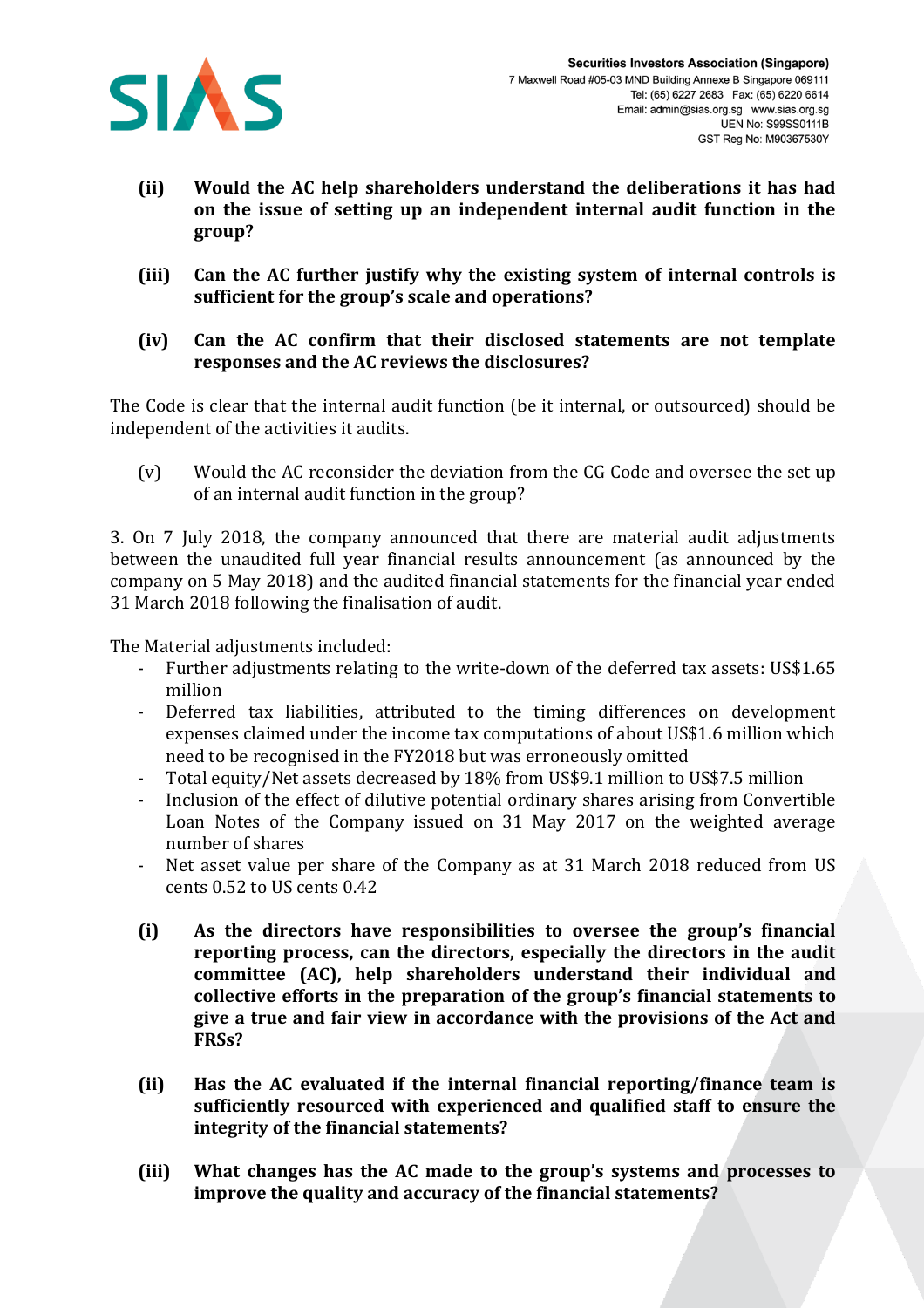

- **(ii) Would the AC help shareholders understand the deliberations it has had on the issue of setting up an independent internal audit function in the group?**
- **(iii) Can the AC further justify why the existing system of internal controls is sufficient for the group's scale and operations?**
- **(iv) Can the AC confirm that their disclosed statements are not template responses and the AC reviews the disclosures?**

The Code is clear that the internal audit function (be it internal, or outsourced) should be independent of the activities it audits.

(v) Would the AC reconsider the deviation from the CG Code and oversee the set up of an internal audit function in the group?

3. On 7 July 2018, the company announced that there are material audit adjustments between the unaudited full year financial results announcement (as announced by the company on 5 May 2018) and the audited financial statements for the financial year ended 31 March 2018 following the finalisation of audit.

The Material adjustments included:

- Further adjustments relating to the write-down of the deferred tax assets: US\$1.65 million
- Deferred tax liabilities, attributed to the timing differences on development expenses claimed under the income tax computations of about US\$1.6 million which need to be recognised in the FY2018 but was erroneously omitted
- Total equity/Net assets decreased by 18% from US\$9.1 million to US\$7.5 million
- Inclusion of the effect of dilutive potential ordinary shares arising from Convertible Loan Notes of the Company issued on 31 May 2017 on the weighted average number of shares
- Net asset value per share of the Company as at 31 March 2018 reduced from US cents 0.52 to US cents 0.42
- **(i) As the directors have responsibilities to oversee the group's financial reporting process, can the directors, especially the directors in the audit committee (AC), help shareholders understand their individual and collective efforts in the preparation of the group's financial statements to give a true and fair view in accordance with the provisions of the Act and FRSs?**
- **(ii) Has the AC evaluated if the internal financial reporting/finance team is sufficiently resourced with experienced and qualified staff to ensure the integrity of the financial statements?**
- **(iii) What changes has the AC made to the group's systems and processes to improve the quality and accuracy of the financial statements?**